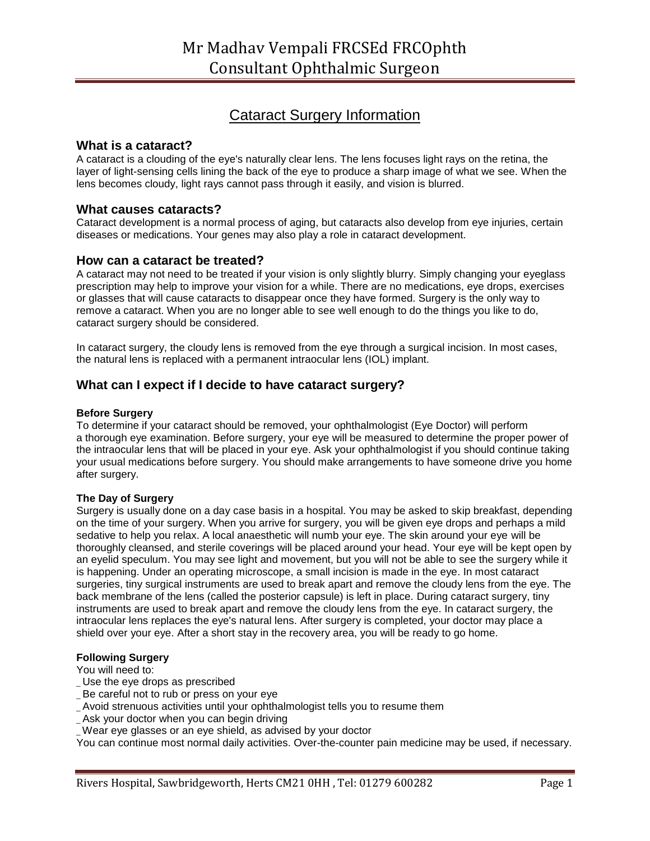# Cataract Surgery Information

### **What is a cataract?**

A cataract is a clouding of the eye's naturally clear lens. The lens focuses light rays on the retina, the layer of light-sensing cells lining the back of the eye to produce a sharp image of what we see. When the lens becomes cloudy, light rays cannot pass through it easily, and vision is blurred.

### **What causes cataracts?**

Cataract development is a normal process of aging, but cataracts also develop from eye injuries, certain diseases or medications. Your genes may also play a role in cataract development.

### **How can a cataract be treated?**

A cataract may not need to be treated if your vision is only slightly blurry. Simply changing your eyeglass prescription may help to improve your vision for a while. There are no medications, eye drops, exercises or glasses that will cause cataracts to disappear once they have formed. Surgery is the only way to remove a cataract. When you are no longer able to see well enough to do the things you like to do, cataract surgery should be considered.

In cataract surgery, the cloudy lens is removed from the eye through a surgical incision. In most cases, the natural lens is replaced with a permanent intraocular lens (IOL) implant.

# **What can I expect if I decide to have cataract surgery?**

### **Before Surgery**

To determine if your cataract should be removed, your ophthalmologist (Eye Doctor) will perform a thorough eye examination. Before surgery, your eye will be measured to determine the proper power of the intraocular lens that will be placed in your eye. Ask your ophthalmologist if you should continue taking your usual medications before surgery. You should make arrangements to have someone drive you home after surgery.

#### **The Day of Surgery**

Surgery is usually done on a day case basis in a hospital. You may be asked to skip breakfast, depending on the time of your surgery. When you arrive for surgery, you will be given eye drops and perhaps a mild sedative to help you relax. A local anaesthetic will numb your eye. The skin around your eye will be thoroughly cleansed, and sterile coverings will be placed around your head. Your eye will be kept open by an eyelid speculum. You may see light and movement, but you will not be able to see the surgery while it is happening. Under an operating microscope, a small incision is made in the eye. In most cataract surgeries, tiny surgical instruments are used to break apart and remove the cloudy lens from the eye. The back membrane of the lens (called the posterior capsule) is left in place. During cataract surgery, tiny instruments are used to break apart and remove the cloudy lens from the eye. In cataract surgery, the intraocular lens replaces the eye's natural lens. After surgery is completed, your doctor may place a shield over your eye. After a short stay in the recovery area, you will be ready to go home.

### **Following Surgery**

You will need to:

- \_ Use the eye drops as prescribed
- Be careful not to rub or press on your eye
- \_ Avoid strenuous activities until your ophthalmologist tells you to resume them
- \_ Ask your doctor when you can begin driving
- \_ Wear eye glasses or an eye shield, as advised by your doctor

You can continue most normal daily activities. Over-the-counter pain medicine may be used, if necessary.